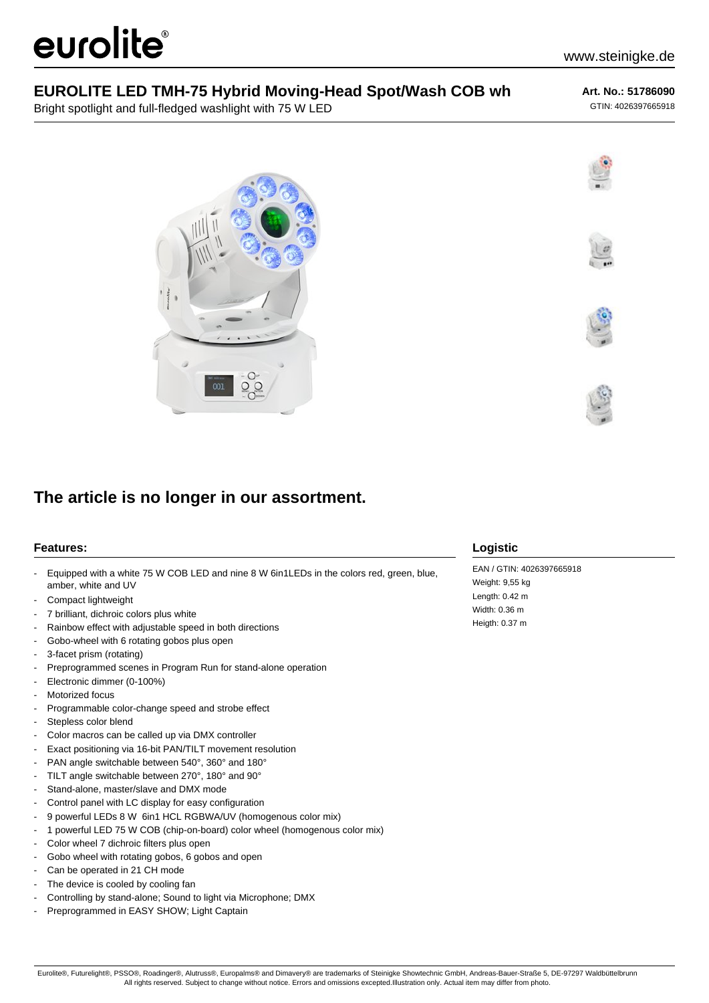# eurolite®

### **EUROLITE LED TMH-75 Hybrid Moving-Head Spot/Wash COB wh**

Bright spotlight and full-fledged washlight with 75 W LED

**Art. No.: 51786090** GTIN: 4026397665918



## **The article is no longer in our assortment.**

#### **Features:**

- Equipped with a white 75 W COB LED and nine 8 W 6in1LEDs in the colors red, green, blue, amber, white and UV
- Compact lightweight
- 7 brilliant, dichroic colors plus white
- Rainbow effect with adjustable speed in both directions
- Gobo-wheel with 6 rotating gobos plus open
- 3-facet prism (rotating)
- Preprogrammed scenes in Program Run for stand-alone operation
- Electronic dimmer (0-100%)
- Motorized focus
- Programmable color-change speed and strobe effect
- Stepless color blend
- Color macros can be called up via DMX controller
- Exact positioning via 16-bit PAN/TILT movement resolution
- PAN angle switchable between 540°, 360° and 180°
- TILT angle switchable between 270°, 180° and 90°
- Stand-alone, master/slave and DMX mode
- Control panel with LC display for easy configuration
- 9 powerful LEDs 8 W 6in1 HCL RGBWA/UV (homogenous color mix)
- 1 powerful LED 75 W COB (chip-on-board) color wheel (homogenous color mix)
- Color wheel 7 dichroic filters plus open
- Gobo wheel with rotating gobos, 6 gobos and open
- Can be operated in 21 CH mode
- The device is cooled by cooling fan
- Controlling by stand-alone; Sound to light via Microphone; DMX
- Preprogrammed in EASY SHOW; Light Captain

#### **Logistic**

EAN / GTIN: 4026397665918 Weight: 9,55 kg Length: 0.42 m Width: 0.36 m Heigth: 0.37 m

Eurolite®, Futurelight®, PSSO®, Roadinger®, Alutruss®, Europalms® and Dimavery® are trademarks of Steinigke Showtechnic GmbH, Andreas-Bauer-Straße 5, DE-97297 Waldbüttelbrunn All rights reserved. Subject to change without notice. Errors and omissions excepted.Illustration only. Actual item may differ from photo.







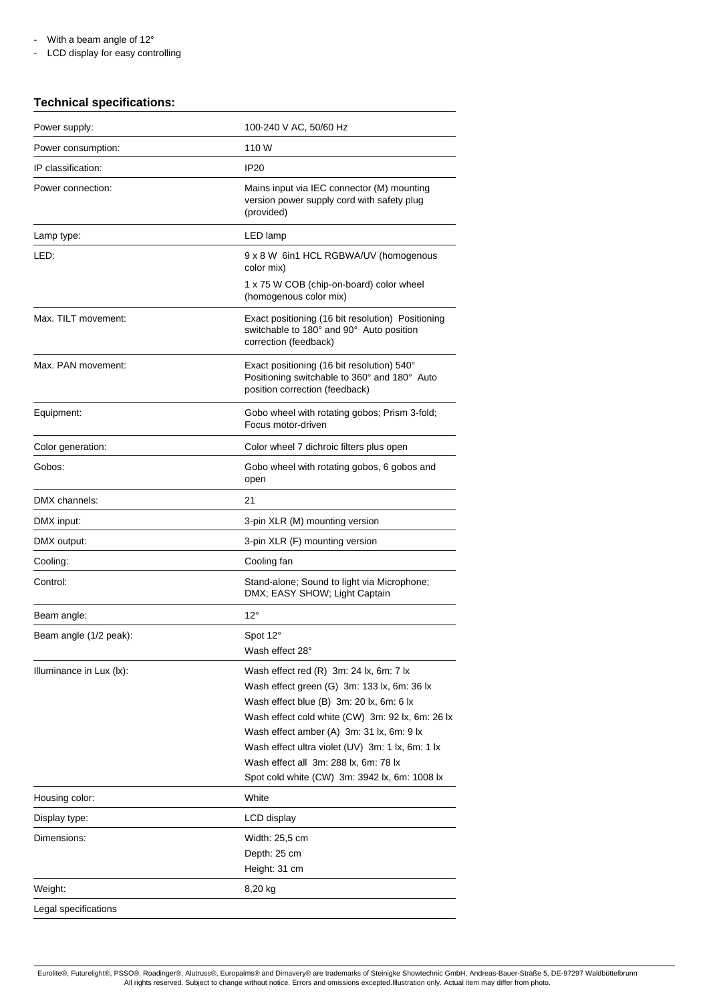- With a beam angle of 12°

- LCD display for easy controlling

#### **Technical specifications:**

| Power supply:            | 100-240 V AC, 50/60 Hz                                                                                                       |
|--------------------------|------------------------------------------------------------------------------------------------------------------------------|
| Power consumption:       | 110 W                                                                                                                        |
| IP classification:       | <b>IP20</b>                                                                                                                  |
| Power connection:        | Mains input via IEC connector (M) mounting<br>version power supply cord with safety plug<br>(provided)                       |
| Lamp type:               | LED lamp                                                                                                                     |
| LED:                     | 9 x 8 W 6in1 HCL RGBWA/UV (homogenous<br>color mix)                                                                          |
|                          | 1 x 75 W COB (chip-on-board) color wheel<br>(homogenous color mix)                                                           |
| Max. TILT movement:      | Exact positioning (16 bit resolution) Positioning<br>switchable to 180° and 90° Auto position<br>correction (feedback)       |
| Max. PAN movement:       | Exact positioning (16 bit resolution) 540°<br>Positioning switchable to 360° and 180° Auto<br>position correction (feedback) |
| Equipment:               | Gobo wheel with rotating gobos; Prism 3-fold;<br>Focus motor-driven                                                          |
| Color generation:        | Color wheel 7 dichroic filters plus open                                                                                     |
| Gobos:                   | Gobo wheel with rotating gobos, 6 gobos and<br>open                                                                          |
| DMX channels:            | 21                                                                                                                           |
| DMX input:               | 3-pin XLR (M) mounting version                                                                                               |
| DMX output:              | 3-pin XLR (F) mounting version                                                                                               |
| Cooling:                 | Cooling fan                                                                                                                  |
| Control:                 | Stand-alone; Sound to light via Microphone;<br>DMX; EASY SHOW; Light Captain                                                 |
| Beam angle:              | $12^{\circ}$                                                                                                                 |
| Beam angle (1/2 peak):   | Spot 12°                                                                                                                     |
|                          | Wash effect 28°                                                                                                              |
| Illuminance in Lux (lx): | Wash effect red $(R)$ 3m: 24 lx, 6m: 7 lx                                                                                    |
|                          | Wash effect green (G) 3m: 133 lx, 6m: 36 lx                                                                                  |
|                          | Wash effect blue (B) 3m: 20 lx, 6m: 6 lx<br>Wash effect cold white (CW) 3m: 92 lx, 6m: 26 lx                                 |
|                          | Wash effect amber (A) 3m: 31 lx, 6m: 9 lx                                                                                    |
|                          | Wash effect ultra violet (UV) 3m: 1 lx, 6m: 1 lx                                                                             |
|                          | Wash effect all 3m: 288 lx, 6m: 78 lx                                                                                        |
|                          | Spot cold white (CW) 3m: 3942 lx, 6m: 1008 lx                                                                                |
| Housing color:           | White                                                                                                                        |
| Display type:            | LCD display                                                                                                                  |
| Dimensions:              | Width: 25,5 cm                                                                                                               |
|                          | Depth: 25 cm                                                                                                                 |
|                          | Height: 31 cm                                                                                                                |
| Weight:                  | 8,20 kg                                                                                                                      |
| Legal specifications     |                                                                                                                              |